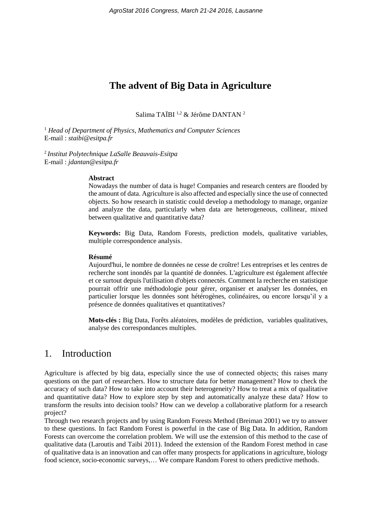# **The advent of Big Data in Agriculture**

Salima TAÏBI 1,2 & Jérôme DANTAN <sup>2</sup>

<sup>1</sup> *Head of Department of Physics, Mathematics and Computer Sciences* E-mail : *staibi@esitpa.fr*

2 *Institut Polytechnique LaSalle Beauvais-Esitpa* E-mail : *jdantan@esitpa.fr*

#### **Abstract**

Nowadays the number of data is huge! Companies and research centers are flooded by the amount of data. Agriculture is also affected and especially since the use of connected objects. So how research in statistic could develop a methodology to manage, organize and analyze the data, particularly when data are heterogeneous, collinear, mixed between qualitative and quantitative data?

**Keywords:** Big Data, Random Forests, prediction models, qualitative variables, multiple correspondence analysis.

#### **Résumé**

Aujourd'hui, le nombre de données ne cesse de croître! Les entreprises et les centres de recherche sont inondés par la quantité de données. L'agriculture est également affectée et ce surtout depuis l'utilisation d'objets connectés. Comment la recherche en statistique pourrait offrir une méthodologie pour gérer, organiser et analyser les données, en particulier lorsque les données sont hétérogènes, colinéaires, ou encore lorsqu'il y a présence de données qualitatives et quantitatives?

**Mots-clés :** Big Data, Forêts aléatoires, modèles de prédiction, variables qualitatives, analyse des correspondances multiples.

## 1. Introduction

Agriculture is affected by big data, especially since the use of connected objects; this raises many questions on the part of researchers. How to structure data for better management? How to check the accuracy of such data? How to take into account their heterogeneity? How to treat a mix of qualitative and quantitative data? How to explore step by step and automatically analyze these data? How to transform the results into decision tools? How can we develop a collaborative platform for a research project?

Through two research projects and by using Random Forests Method (Breiman 2001) we try to answer to these questions. In fact Random Forest is powerful in the case of Big Data. In addition, Random Forests can overcome the correlation problem. We will use the extension of this method to the case of qualitative data (Laroutis and Taibi 2011). Indeed the extension of the Random Forest method in case of qualitative data is an innovation and can offer many prospects for applications in agriculture, biology food science, socio-economic surveys,… We compare Random Forest to others predictive methods.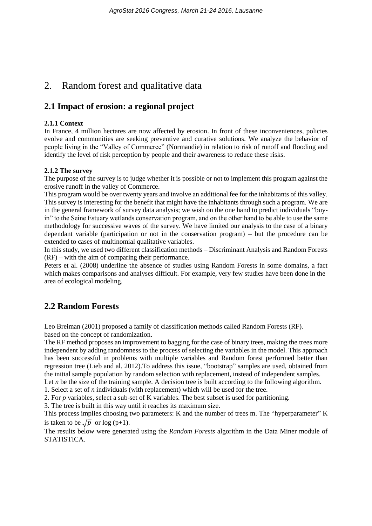# 2. Random forest and qualitative data

### **2.1 Impact of erosion: a regional project**

#### **2.1.1 Context**

In France, 4 million hectares are now affected by erosion. In front of these inconveniences, policies evolve and communities are seeking preventive and curative solutions. We analyze the behavior of people living in the "Valley of Commerce" (Normandie) in relation to risk of runoff and flooding and identify the level of risk perception by people and their awareness to reduce these risks.

#### **2.1.2 The survey**

The purpose of the survey is to judge whether it is possible or not to implement this program against the erosive runoff in the valley of Commerce.

This program would be over twenty years and involve an additional fee for the inhabitants of this valley. This survey is interesting for the benefit that might have the inhabitants through such a program. We are in the general framework of survey data analysis; we wish on the one hand to predict individuals "buyin" to the Seine Estuary wetlands conservation program, and on the other hand to be able to use the same methodology for successive waves of the survey. We have limited our analysis to the case of a binary dependant variable (participation or not in the conservation program) – but the procedure can be extended to cases of multinomial qualitative variables.

In this study, we used two different classification methods – Discriminant Analysis and Random Forests (RF) – with the aim of comparing their performance.

Peters et al. (2008) underline the absence of studies using Random Forests in some domains, a fact which makes comparisons and analyses difficult. For example, very few studies have been done in the area of ecological modeling.

## **2.2 Random Forests**

Leo Breiman (2001) proposed a family of classification methods called Random Forests (RF)*.* based on the concept of randomization.

The RF method proposes an improvement to bagging for the case of binary trees, making the trees more independent by adding randomness to the process of selecting the variables in the model. This approach has been successful in problems with multiple variables and Random forest performed better than regression tree (Lieb and al. 2012).To address this issue, "bootstrap" samples are used, obtained from the initial sample population by random selection with replacement, instead of independent samples.

Let *n* be the size of the training sample. A decision tree is built according to the following algorithm.

1. Select a set of *n* individuals (with replacement) which will be used for the tree.

2. For *p* variables, select a sub-set of K variables. The best subset is used for partitioning.

3. The tree is built in this way until it reaches its maximum size.

This process implies choosing two parameters: K and the number of trees m. The "hyperparameter" K is taken to be  $\sqrt{p}$  or log (p+1).

The results below were generated using the *Random Forests* algorithm in the Data Miner module of STATISTICA.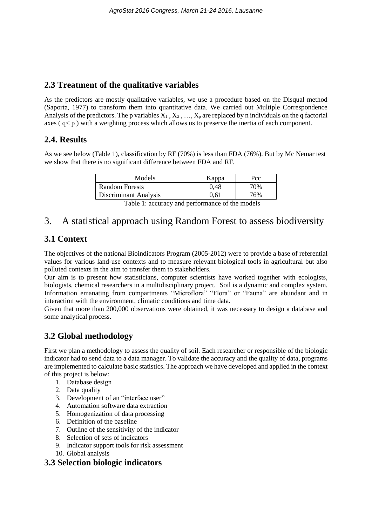## **2.3 Treatment of the qualitative variables**

As the predictors are mostly qualitative variables, we use a procedure based on the Disqual method (Saporta, 1977) to transform them into quantitative data. We carried out Multiple Correspondence Analysis of the predictors. The p variables  $X_1, X_2, ..., X_n$  are replaced by n individuals on the q factorial axes  $(q < p)$  with a weighting process which allows us to preserve the inertia of each component.

## **2.4. Results**

As we see below (Table 1), classification by RF (70%) is less than FDA (76%). But by Mc Nemar test we show that there is no significant difference between FDA and RF.

| Models                       | Kappa | Pcc |
|------------------------------|-------|-----|
| <b>Random Forests</b>        | 0.48  | 70% |
| <b>Discriminant Analysis</b> | 0.61  | 76% |
|                              | __    |     |

# 3. A statistical approach using Random Forest to assess biodiversity

## **3.1 Context**

The objectives of the national Bioindicators Program (2005-2012) were to provide a base of referential values for various land-use contexts and to measure relevant biological tools in agricultural but also polluted contexts in the aim to transfer them to stakeholders.

Our aim is to present how statisticians, computer scientists have worked together with ecologists, biologists, chemical researchers in a multidisciplinary project. Soil is a dynamic and complex system. Information emanating from compartments "Microflora" "Flora" or "Fauna" are abundant and in interaction with the environment, climatic conditions and time data.

Given that more than 200,000 observations were obtained, it was necessary to design a database and some analytical process.

## **3.2 Global methodology**

First we plan a methodology to assess the quality of soil. Each researcher or responsible of the biologic indicator had to send data to a data manager. To validate the accuracy and the quality of data, programs are implemented to calculate basic statistics. The approach we have developed and applied in the context of this project is below:

- 1. Database design
- 2. Data quality
- 3. Development of an "interface user"
- 4. Automation software data extraction
- 5. Homogenization of data processing
- 6. Definition of the baseline
- 7. Outline of the sensitivity of the indicator
- 8. Selection of sets of indicators
- 9. Indicator support tools for risk assessment
- 10. Global analysis

## **3.3 Selection biologic indicators**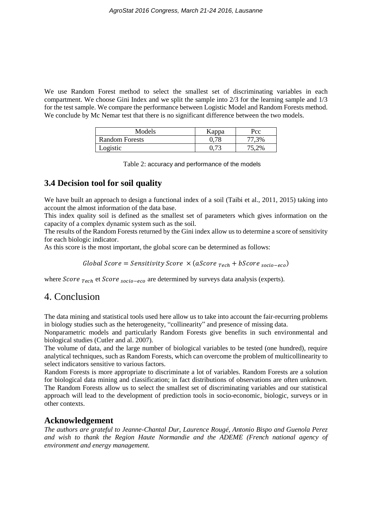We use Random Forest method to select the smallest set of discriminating variables in each compartment. We choose Gini Index and we split the sample into 2/3 for the learning sample and 1/3 for the test sample. We compare the performance between Logistic Model and Random Forests method. We conclude by Mc Nemar test that there is no significant difference between the two models.

| Models                | Kappa    | Pcc   |
|-----------------------|----------|-------|
| <b>Random Forests</b> |          | 77,3% |
| Logistic              | $0.73\,$ | 75,2% |

Table 2: accuracy and performance of the models

### **3.4 Decision tool for soil quality**

We have built an approach to design a functional index of a soil (Taibi et al., 2011, 2015) taking into account the almost information of the data base.

This index quality soil is defined as the smallest set of parameters which gives information on the capacity of a complex dynamic system such as the soil.

The results of the Random Forests returned by the Gini index allow us to determine a score of sensitivity for each biologic indicator.

As this score is the most important, the global score can be determined as follows:

Global Score = Sensitivity Score  $\times$  (aScore <sub>Tech</sub> + bScore <sub>socio-eco</sub>)

where  $Score_{\text{Tech}}$  et  $Score_{\text{Socio-eco}}$  are determined by surveys data analysis (experts).

### 4. Conclusion

The data mining and statistical tools used here allow us to take into account the fair-recurring problems in biology studies such as the heterogeneity, "collinearity" and presence of missing data.

Nonparametric models and particularly Random Forests give benefits in such environmental and biological studies (Cutler and al. 2007).

The volume of data, and the large number of biological variables to be tested (one hundred), require analytical techniques, such as Random Forests, which can overcome the problem of multicollinearity to select indicators sensitive to various factors.

Random Forests is more appropriate to discriminate a lot of variables. Random Forests are a solution for biological data mining and classification; in fact distributions of observations are often unknown. The Random Forests allow us to select the smallest set of discriminating variables and our statistical approach will lead to the development of prediction tools in socio-economic, biologic, surveys or in other contexts.

#### **Acknowledgement**

*The authors are grateful to Jeanne-Chantal Dur, Laurence Rougé, Antonio Bispo and Guenola Perez and wish to thank the Region Haute Normandie and the ADEME (French national agency of environment and energy management.*